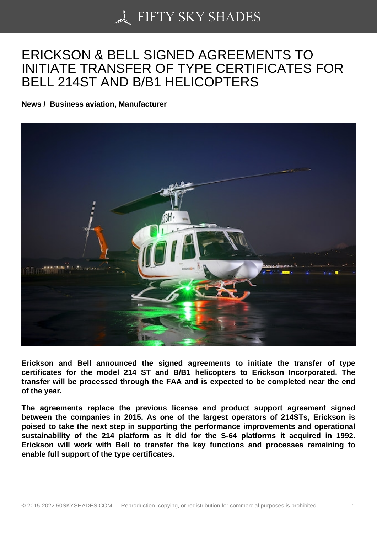## [ERICKSON & BELL SI](https://50skyshades.com)GNED AGREEMENTS TO INITIATE TRANSFER OF TYPE CERTIFICATES FOR BELL 214ST AND B/B1 HELICOPTERS

News / Business aviation, Manufacturer

Erickson and Bell announced the signed agreements to initiate the transfer of type certificates for the model 214 ST and B/B1 helicopters to Erickson Incorporated. The transfer will be processed through the FAA and is expected to be completed near the end of the year.

The agreements replace the previous license and product support agreement signed between the companies in 2015. As one of the largest operators of 214STs, Erickson is poised to take the next step in supporting the performance improvements and operational sustainability of the 214 platform as it did for the S-64 platforms it acquired in 1992. Erickson will work with Bell to transfer the key functions and processes remaining to enable full support of the type certificates.